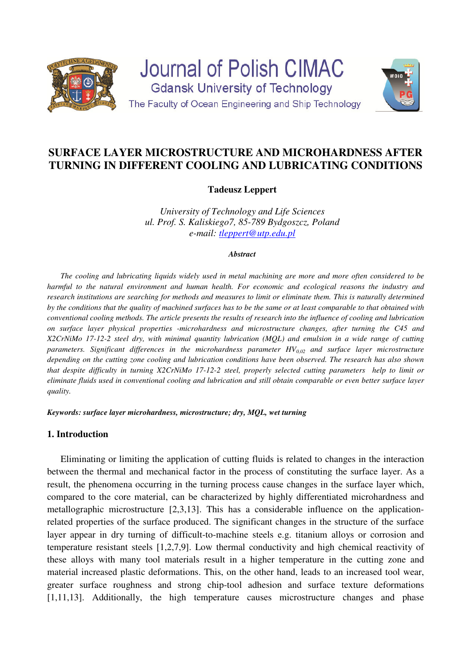

**Journal of Polish CIMAC Gdansk University of Technology** The Faculty of Ocean Engineering and Ship Technology



# **SURFACE LAYER MICROSTRUCTURE AND MICROHARDNESS AFTER TURNING IN DIFFERENT COOLING AND LUBRICATING CONDITIONS**

## **Tadeusz Leppert**

*University of Technology and Life Sciences ul. Prof. S. Kaliskiego7, 85-789 Bydgoszcz, Poland e-mail: tleppert@utp.edu.pl*

#### *Abstract*

*The cooling and lubricating liquids widely used in metal machining are more and more often considered to be harmful to the natural environment and human health. For economic and ecological reasons the industry and research institutions are searching for methods and measures to limit or eliminate them. This is naturally determined by the conditions that the quality of machined surfaces has to be the same or at least comparable to that obtained with conventional cooling methods. The article presents the results of research into the influence of cooling and lubrication on surface layer physical properties -microhardness and microstructure changes, after turning the C45 and X2CrNiMo 17-12-2 steel dry, with minimal quantity lubrication (MQL) and emulsion in a wide range of cutting parameters. Significant differences in the microhardness parameter HV0,02 and surface layer microstructure depending on the cutting zone cooling and lubrication conditions have been observed. The research has also shown that despite difficulty in turning X2CrNiMo 17-12-2 steel, properly selected cutting parameters help to limit or eliminate fluids used in conventional cooling and lubrication and still obtain comparable or even better surface layer quality.* 

*Keywords: surface layer microhardness, microstructure; dry, MQL, wet turning* 

### **1. Introduction**

Eliminating or limiting the application of cutting fluids is related to changes in the interaction between the thermal and mechanical factor in the process of constituting the surface layer. As a result, the phenomena occurring in the turning process cause changes in the surface layer which, compared to the core material, can be characterized by highly differentiated microhardness and metallographic microstructure [2,3,13]. This has a considerable influence on the applicationrelated properties of the surface produced. The significant changes in the structure of the surface layer appear in dry turning of difficult-to-machine steels e.g. titanium alloys or corrosion and temperature resistant steels [1,2,7,9]. Low thermal conductivity and high chemical reactivity of these alloys with many tool materials result in a higher temperature in the cutting zone and material increased plastic deformations. This, on the other hand, leads to an increased tool wear, greater surface roughness and strong chip-tool adhesion and surface texture deformations [1,11,13]. Additionally, the high temperature causes microstructure changes and phase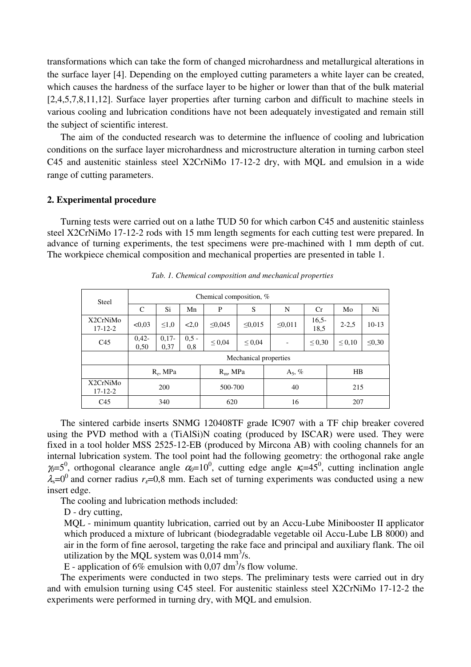transformations which can take the form of changed microhardness and metallurgical alterations in the surface layer [4]. Depending on the employed cutting parameters a white layer can be created, which causes the hardness of the surface layer to be higher or lower than that of the bulk material [2,4,5,7,8,11,12]. Surface layer properties after turning carbon and difficult to machine steels in various cooling and lubrication conditions have not been adequately investigated and remain still the subject of scientific interest.

The aim of the conducted research was to determine the influence of cooling and lubrication conditions on the surface layer microhardness and microstructure alteration in turning carbon steel C45 and austenitic stainless steel X2CrNiMo 17-12-2 dry, with MQL and emulsion in a wide range of cutting parameters.

#### **2. Experimental procedure**

Turning tests were carried out on a lathe TUD 50 for which carbon C45 and austenitic stainless steel X2CrNiMo 17-12-2 rods with 15 mm length segments for each cutting test were prepared. In advance of turning experiments, the test specimens were pre-machined with 1 mm depth of cut. The workpiece chemical composition and mechanical properties are presented in table 1.

| <b>Steel</b>              | Chemical composition, % |                  |                |              |              |    |                          |                 |              |             |
|---------------------------|-------------------------|------------------|----------------|--------------|--------------|----|--------------------------|-----------------|--------------|-------------|
|                           | C                       | Si               | Mn             | P            | S            |    | N                        | Cr              | Mo           | Ni          |
| X2CrNiMo<br>$17 - 12 - 2$ | < 0.03                  | $\leq 1.0$       | < 2.0          | $\leq 0.045$ | $\leq 0.015$ |    | $\leq 0.011$             | $16,5-$<br>18,5 | $2 - 2.5$    | $10-13$     |
| C <sub>45</sub>           | $0.42 -$<br>0,50        | $0.17 -$<br>0,37 | $0.5 -$<br>0,8 | ${}^{<}0.04$ | $\leq 0.04$  |    | $\overline{\phantom{a}}$ | $\leq 0.30$     | ${}^{<}0.10$ | $\leq 0.30$ |
|                           | Mechanical properties   |                  |                |              |              |    |                          |                 |              |             |
|                           | $R_e$ , MPa             |                  |                | $R_m$ , MPa  |              |    | $A_5, \%$                |                 | $_{\rm HB}$  |             |
| X2CrNiMo<br>$17 - 12 - 2$ | 200                     |                  |                | 500-700      |              |    | 40                       |                 | 215          |             |
| C <sub>45</sub>           | 340                     |                  |                | 620          |              | 16 |                          |                 | 207          |             |

*Tab. 1. Chemical composition and mechanical properties* 

The sintered carbide inserts SNMG 120408TF grade IC907 with a TF chip breaker covered using the PVD method with a (TiAlSi)N coating (produced by ISCAR) were used. They were fixed in a tool holder MSS 2525-12-EB (produced by Mircona AB) with cooling channels for an internal lubrication system. The tool point had the following geometry: the orthogonal rake angle  $\gamma_0 = 5^0$ , orthogonal clearance angle  $\alpha_0 = 10^0$ , cutting edge angle  $\kappa = 45^0$ , cutting inclination angle  $\lambda_s = 0^0$  and corner radius  $r_s = 0.8$  mm. Each set of turning experiments was conducted using a new insert edge.

The cooling and lubrication methods included:

D - dry cutting.

MQL - minimum quantity lubrication, carried out by an Accu-Lube Minibooster II applicator which produced a mixture of lubricant (biodegradable vegetable oil Accu-Lube LB 8000) and air in the form of fine aerosol, targeting the rake face and principal and auxiliary flank. The oil utilization by the MQL system was  $0.014 \text{ mm}^3$ /s.

E - application of 6% emulsion with 0,07 dm<sup>3</sup>/s flow volume.

The experiments were conducted in two steps. The preliminary tests were carried out in dry and with emulsion turning using C45 steel. For austenitic stainless steel X2CrNiMo 17-12-2 the experiments were performed in turning dry, with MQL and emulsion.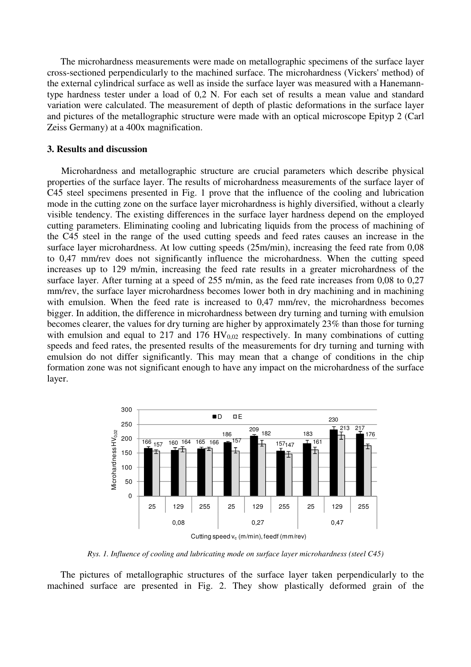The microhardness measurements were made on metallographic specimens of the surface layer cross-sectioned perpendicularly to the machined surface. The microhardness (Vickers' method) of the external cylindrical surface as well as inside the surface layer was measured with a Hanemanntype hardness tester under a load of 0,2 N. For each set of results a mean value and standard variation were calculated. The measurement of depth of plastic deformations in the surface layer and pictures of the metallographic structure were made with an optical microscope Epityp 2 (Carl Zeiss Germany) at a 400x magnification.

#### **3. Results and discussion**

Microhardness and metallographic structure are crucial parameters which describe physical properties of the surface layer. The results of microhardness measurements of the surface layer of C45 steel specimens presented in Fig. 1 prove that the influence of the cooling and lubrication mode in the cutting zone on the surface layer microhardness is highly diversified, without a clearly visible tendency. The existing differences in the surface layer hardness depend on the employed cutting parameters. Eliminating cooling and lubricating liquids from the process of machining of the C45 steel in the range of the used cutting speeds and feed rates causes an increase in the surface layer microhardness. At low cutting speeds (25m/min), increasing the feed rate from 0,08 to 0,47 mm/rev does not significantly influence the microhardness. When the cutting speed increases up to 129 m/min, increasing the feed rate results in a greater microhardness of the surface layer. After turning at a speed of 255 m/min, as the feed rate increases from 0,08 to 0,27 mm/rev, the surface layer microhardness becomes lower both in dry machining and in machining with emulsion. When the feed rate is increased to 0,47 mm/rev, the microhardness becomes bigger. In addition, the difference in microhardness between dry turning and turning with emulsion becomes clearer, the values for dry turning are higher by approximately 23% than those for turning with emulsion and equal to 217 and 176  $HV_{0.02}$  respectively. In many combinations of cutting speeds and feed rates, the presented results of the measurements for dry turning and turning with emulsion do not differ significantly. This may mean that a change of conditions in the chip formation zone was not significant enough to have any impact on the microhardness of the surface layer.



*Rys. 1. Influence of cooling and lubricating mode on surface layer microhardness (steel C45)* 

The pictures of metallographic structures of the surface layer taken perpendicularly to the machined surface are presented in Fig. 2. They show plastically deformed grain of the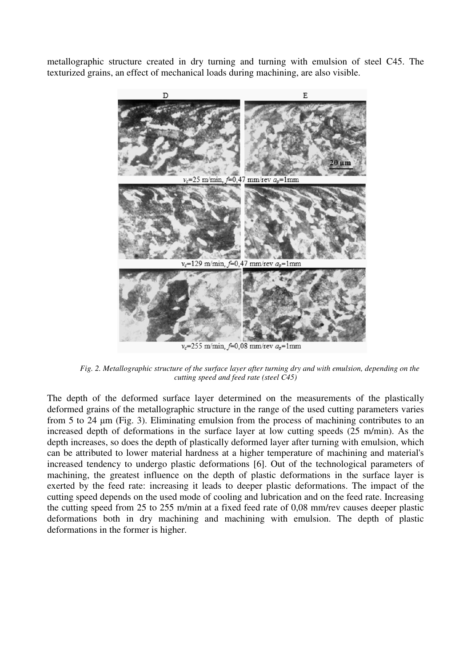metallographic structure created in dry turning and turning with emulsion of steel C45. The texturized grains, an effect of mechanical loads during machining, are also visible.



 $v_c$ =255 m/min, f=0,08 mm/rev  $a_p$ =1mm

*Fig. 2. Metallographic structure of the surface layer after turning dry and with emulsion, depending on the cutting speed and feed rate (steel C45)* 

The depth of the deformed surface layer determined on the measurements of the plastically deformed grains of the metallographic structure in the range of the used cutting parameters varies from 5 to 24 µm (Fig. 3). Eliminating emulsion from the process of machining contributes to an increased depth of deformations in the surface layer at low cutting speeds (25 m/min). As the depth increases, so does the depth of plastically deformed layer after turning with emulsion, which can be attributed to lower material hardness at a higher temperature of machining and material's increased tendency to undergo plastic deformations [6]. Out of the technological parameters of machining, the greatest influence on the depth of plastic deformations in the surface layer is exerted by the feed rate: increasing it leads to deeper plastic deformations. The impact of the cutting speed depends on the used mode of cooling and lubrication and on the feed rate. Increasing the cutting speed from 25 to 255 m/min at a fixed feed rate of 0,08 mm/rev causes deeper plastic deformations both in dry machining and machining with emulsion. The depth of plastic deformations in the former is higher.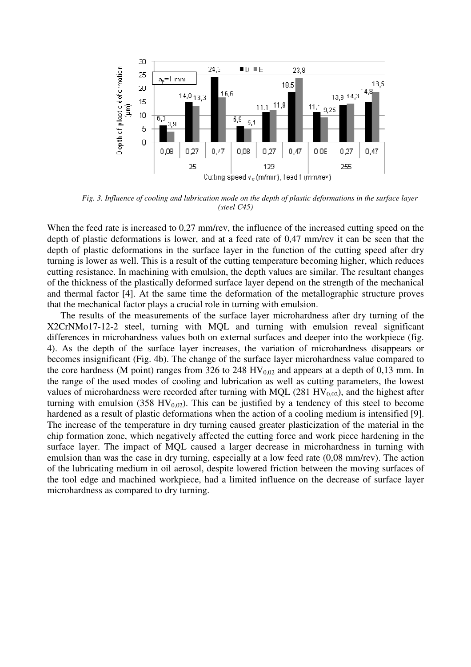

*Fig. 3. Influence of cooling and lubrication mode on the depth of plastic deformations in the surface layer (steel C45)* 

When the feed rate is increased to 0,27 mm/rev, the influence of the increased cutting speed on the depth of plastic deformations is lower, and at a feed rate of 0,47 mm/rev it can be seen that the depth of plastic deformations in the surface layer in the function of the cutting speed after dry turning is lower as well. This is a result of the cutting temperature becoming higher, which reduces cutting resistance. In machining with emulsion, the depth values are similar. The resultant changes of the thickness of the plastically deformed surface layer depend on the strength of the mechanical and thermal factor [4]. At the same time the deformation of the metallographic structure proves that the mechanical factor plays a crucial role in turning with emulsion.

The results of the measurements of the surface layer microhardness after dry turning of the X2CrNMo17-12-2 steel, turning with MQL and turning with emulsion reveal significant differences in microhardness values both on external surfaces and deeper into the workpiece (fig. 4). As the depth of the surface layer increases, the variation of microhardness disappears or becomes insignificant (Fig. 4b). The change of the surface layer microhardness value compared to the core hardness (M point) ranges from 326 to 248  $HV_{0.02}$  and appears at a depth of 0,13 mm. In the range of the used modes of cooling and lubrication as well as cutting parameters, the lowest values of microhardness were recorded after turning with MQL (281  $HV_{0,02}$ ), and the highest after turning with emulsion (358 HV<sub>0,02</sub>). This can be justified by a tendency of this steel to become hardened as a result of plastic deformations when the action of a cooling medium is intensified [9]. The increase of the temperature in dry turning caused greater plasticization of the material in the chip formation zone, which negatively affected the cutting force and work piece hardening in the surface layer. The impact of MQL caused a larger decrease in microhardness in turning with emulsion than was the case in dry turning, especially at a low feed rate (0,08 mm/rev). The action of the lubricating medium in oil aerosol, despite lowered friction between the moving surfaces of the tool edge and machined workpiece, had a limited influence on the decrease of surface layer microhardness as compared to dry turning.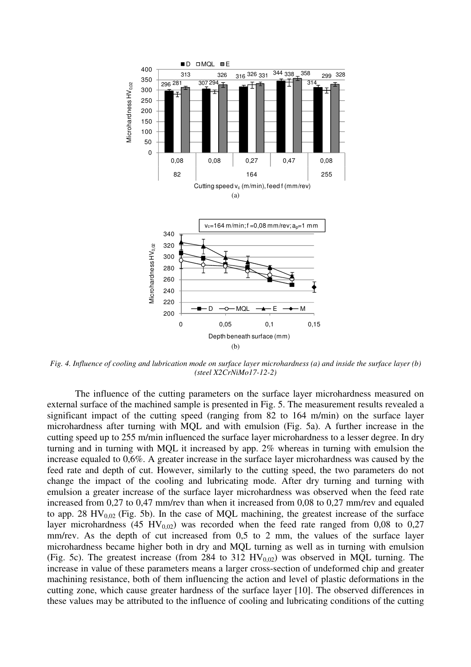

*Fig. 4. Influence of cooling and lubrication mode on surface layer microhardness (a) and inside the surface layer (b) (steel X2CrNiMo17-12-2)* 

The influence of the cutting parameters on the surface layer microhardness measured on external surface of the machined sample is presented in Fig. 5. The measurement results revealed a significant impact of the cutting speed (ranging from 82 to 164 m/min) on the surface layer microhardness after turning with MQL and with emulsion (Fig. 5a). A further increase in the cutting speed up to 255 m/min influenced the surface layer microhardness to a lesser degree. In dry turning and in turning with MQL it increased by app. 2% whereas in turning with emulsion the increase equaled to 0,6%. A greater increase in the surface layer microhardness was caused by the feed rate and depth of cut. However, similarly to the cutting speed, the two parameters do not change the impact of the cooling and lubricating mode. After dry turning and turning with emulsion a greater increase of the surface layer microhardness was observed when the feed rate increased from 0,27 to 0,47 mm/rev than when it increased from 0,08 to 0,27 mm/rev and equaled to app. 28  $HV_{0.02}$  (Fig. 5b). In the case of MQL machining, the greatest increase of the surface layer microhardness (45 HV<sub>0,02</sub>) was recorded when the feed rate ranged from 0,08 to 0,27 mm/rev. As the depth of cut increased from 0,5 to 2 mm, the values of the surface layer microhardness became higher both in dry and MQL turning as well as in turning with emulsion (Fig. 5c). The greatest increase (from 284 to 312  $HV_{0.02}$ ) was observed in MQL turning. The increase in value of these parameters means a larger cross-section of undeformed chip and greater machining resistance, both of them influencing the action and level of plastic deformations in the cutting zone, which cause greater hardness of the surface layer [10]. The observed differences in these values may be attributed to the influence of cooling and lubricating conditions of the cutting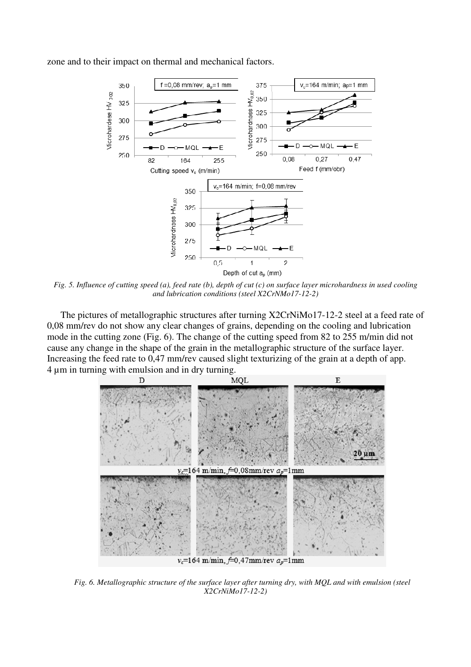zone and to their impact on thermal and mechanical factors.



*Fig. 5. Influence of cutting speed (a), feed rate (b), depth of cut (c) on surface layer microhardness in used cooling and lubrication conditions (steel X2CrNMo17-12-2)* 

The pictures of metallographic structures after turning X2CrNiMo17-12-2 steel at a feed rate of 0,08 mm/rev do not show any clear changes of grains, depending on the cooling and lubrication mode in the cutting zone (Fig. 6). The change of the cutting speed from 82 to 255 m/min did not cause any change in the shape of the grain in the metallographic structure of the surface layer. Increasing the feed rate to 0,47 mm/rev caused slight texturizing of the grain at a depth of app. 4 µm in turning with emulsion and in dry turning.



*Fig. 6. Metallographic structure of the surface layer after turning dry, with MQL and with emulsion (steel X2CrNiMo17-12-2)*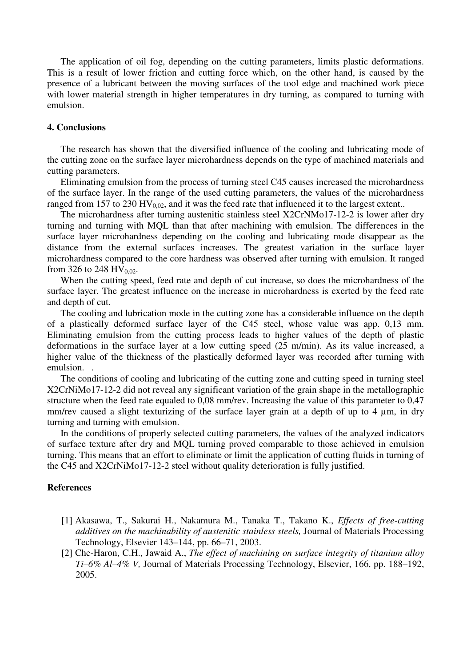The application of oil fog, depending on the cutting parameters, limits plastic deformations. This is a result of lower friction and cutting force which, on the other hand, is caused by the presence of a lubricant between the moving surfaces of the tool edge and machined work piece with lower material strength in higher temperatures in dry turning, as compared to turning with emulsion.

#### **4. Conclusions**

The research has shown that the diversified influence of the cooling and lubricating mode of the cutting zone on the surface layer microhardness depends on the type of machined materials and cutting parameters.

Eliminating emulsion from the process of turning steel C45 causes increased the microhardness of the surface layer. In the range of the used cutting parameters, the values of the microhardness ranged from 157 to 230 HV<sub>0.02</sub>, and it was the feed rate that influenced it to the largest extent..

The microhardness after turning austenitic stainless steel X2CrNMo17-12-2 is lower after dry turning and turning with MQL than that after machining with emulsion. The differences in the surface layer microhardness depending on the cooling and lubricating mode disappear as the distance from the external surfaces increases. The greatest variation in the surface layer microhardness compared to the core hardness was observed after turning with emulsion. It ranged from 326 to 248 HV<sub>0.02</sub>.

When the cutting speed, feed rate and depth of cut increase, so does the microhardness of the surface layer. The greatest influence on the increase in microhardness is exerted by the feed rate and depth of cut.

The cooling and lubrication mode in the cutting zone has a considerable influence on the depth of a plastically deformed surface layer of the C45 steel, whose value was app. 0,13 mm. Eliminating emulsion from the cutting process leads to higher values of the depth of plastic deformations in the surface layer at a low cutting speed (25 m/min). As its value increased, a higher value of the thickness of the plastically deformed layer was recorded after turning with emulsion. .

The conditions of cooling and lubricating of the cutting zone and cutting speed in turning steel X2CrNiMo17-12-2 did not reveal any significant variation of the grain shape in the metallographic structure when the feed rate equaled to 0,08 mm/rev. Increasing the value of this parameter to 0,47 mm/rev caused a slight texturizing of the surface layer grain at a depth of up to 4  $\mu$ m, in dry turning and turning with emulsion.

In the conditions of properly selected cutting parameters, the values of the analyzed indicators of surface texture after dry and MQL turning proved comparable to those achieved in emulsion turning. This means that an effort to eliminate or limit the application of cutting fluids in turning of the C45 and X2CrNiMo17-12-2 steel without quality deterioration is fully justified.

#### **References**

- [1] Akasawa, T., Sakurai H., Nakamura M., Tanaka T., Takano K., *Effects of free-cutting additives on the machinability of austenitic stainless steels,* Journal of Materials Processing Technology, Elsevier 143–144, pp. 66–71, 2003.
- [2] Che-Haron, C.H., Jawaid A., *The effect of machining on surface integrity of titanium alloy Ti–6% Al–4% V,* Journal of Materials Processing Technology, Elsevier, 166, pp. 188–192, 2005.